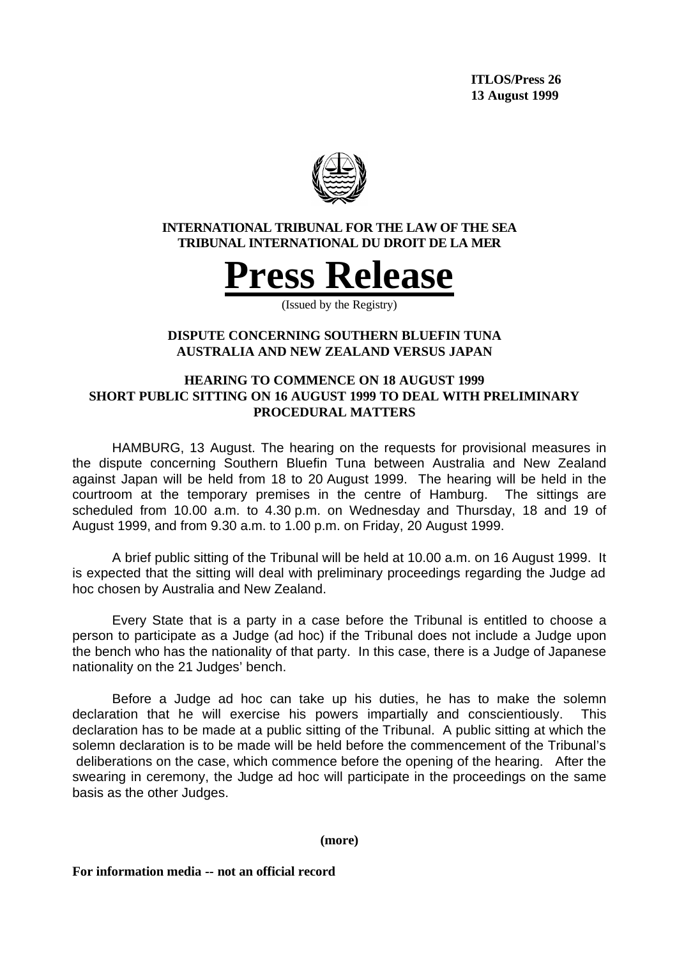

## **INTERNATIONAL TRIBUNAL FOR THE LAW OF THE SEA TRIBUNAL INTERNATIONAL DU DROIT DE LA MER**



(Issued by the Registry)

# **DISPUTE CONCERNING SOUTHERN BLUEFIN TUNA AUSTRALIA AND NEW ZEALAND VERSUS JAPAN**

# **HEARING TO COMMENCE ON 18 AUGUST 1999 SHORT PUBLIC SITTING ON 16 AUGUST 1999 TO DEAL WITH PRELIMINARY PROCEDURAL MATTERS**

HAMBURG, 13 August. The hearing on the requests for provisional measures in the dispute concerning Southern Bluefin Tuna between Australia and New Zealand against Japan will be held from 18 to 20 August 1999. The hearing will be held in the courtroom at the temporary premises in the centre of Hamburg. The sittings are scheduled from 10.00 a.m. to 4.30 p.m. on Wednesday and Thursday, 18 and 19 of August 1999, and from 9.30 a.m. to 1.00 p.m. on Friday, 20 August 1999.

A brief public sitting of the Tribunal will be held at 10.00 a.m. on 16 August 1999. It is expected that the sitting will deal with preliminary proceedings regarding the Judge ad hoc chosen by Australia and New Zealand.

Every State that is a party in a case before the Tribunal is entitled to choose a person to participate as a Judge (ad hoc) if the Tribunal does not include a Judge upon the bench who has the nationality of that party. In this case, there is a Judge of Japanese nationality on the 21 Judges' bench.

Before a Judge ad hoc can take up his duties, he has to make the solemn declaration that he will exercise his powers impartially and conscientiously. This declaration has to be made at a public sitting of the Tribunal. A public sitting at which the solemn declaration is to be made will be held before the commencement of the Tribunal's deliberations on the case, which commence before the opening of the hearing. After the swearing in ceremony, the Judge ad hoc will participate in the proceedings on the same basis as the other Judges.

#### **(more)**

**For information media -- not an official record**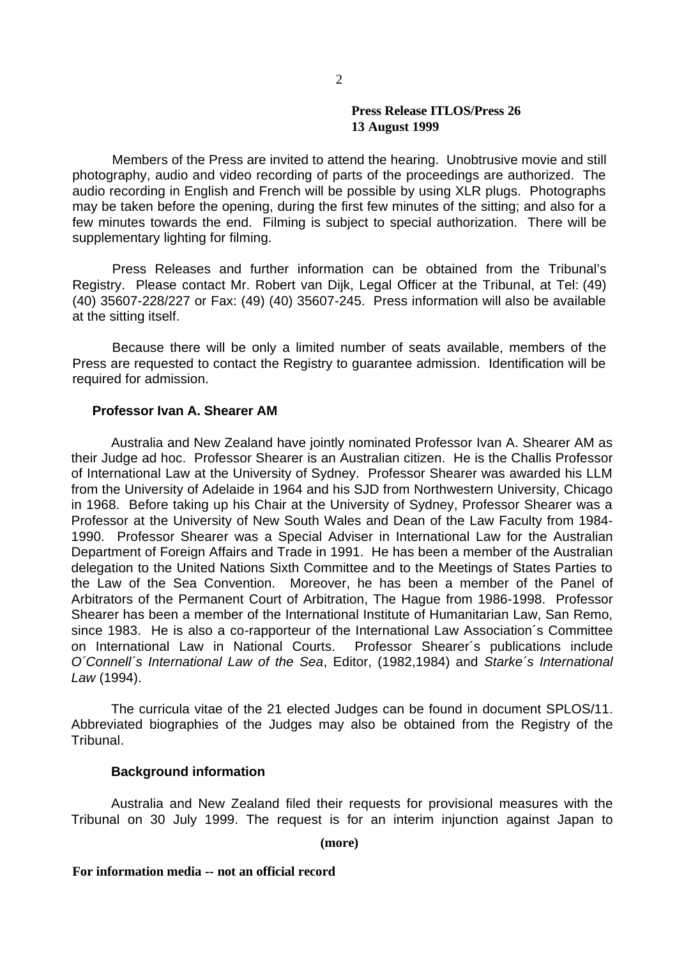#### **Press Release ITLOS/Press 26 13 August 1999**

Members of the Press are invited to attend the hearing. Unobtrusive movie and still photography, audio and video recording of parts of the proceedings are authorized. The audio recording in English and French will be possible by using XLR plugs. Photographs may be taken before the opening, during the first few minutes of the sitting; and also for a few minutes towards the end. Filming is subject to special authorization. There will be supplementary lighting for filming.

Press Releases and further information can be obtained from the Tribunal's Registry. Please contact Mr. Robert van Dijk, Legal Officer at the Tribunal, at Tel: (49) (40) 35607-228/227 or Fax: (49) (40) 35607-245. Press information will also be available at the sitting itself.

Because there will be only a limited number of seats available, members of the Press are requested to contact the Registry to guarantee admission. Identification will be required for admission.

## **Professor Ivan A. Shearer AM**

Australia and New Zealand have jointly nominated Professor Ivan A. Shearer AM as their Judge ad hoc. Professor Shearer is an Australian citizen. He is the Challis Professor of International Law at the University of Sydney. Professor Shearer was awarded his LLM from the University of Adelaide in 1964 and his SJD from Northwestern University, Chicago in 1968. Before taking up his Chair at the University of Sydney, Professor Shearer was a Professor at the University of New South Wales and Dean of the Law Faculty from 1984- 1990. Professor Shearer was a Special Adviser in International Law for the Australian Department of Foreign Affairs and Trade in 1991. He has been a member of the Australian delegation to the United Nations Sixth Committee and to the Meetings of States Parties to the Law of the Sea Convention. Moreover, he has been a member of the Panel of Arbitrators of the Permanent Court of Arbitration, The Hague from 1986-1998. Professor Shearer has been a member of the International Institute of Humanitarian Law, San Remo, since 1983. He is also a co-rapporteur of the International Law Association´s Committee on International Law in National Courts. Professor Shearer´s publications include *O´Connell´s International Law of the Sea*, Editor, (1982,1984) and *Starke´s International Law* (1994).

The curricula vitae of the 21 elected Judges can be found in document SPLOS/11. Abbreviated biographies of the Judges may also be obtained from the Registry of the Tribunal.

#### **Background information**

Australia and New Zealand filed their requests for provisional measures with the Tribunal on 30 July 1999. The request is for an interim injunction against Japan to

**(more)**

#### **For information media -- not an official record**